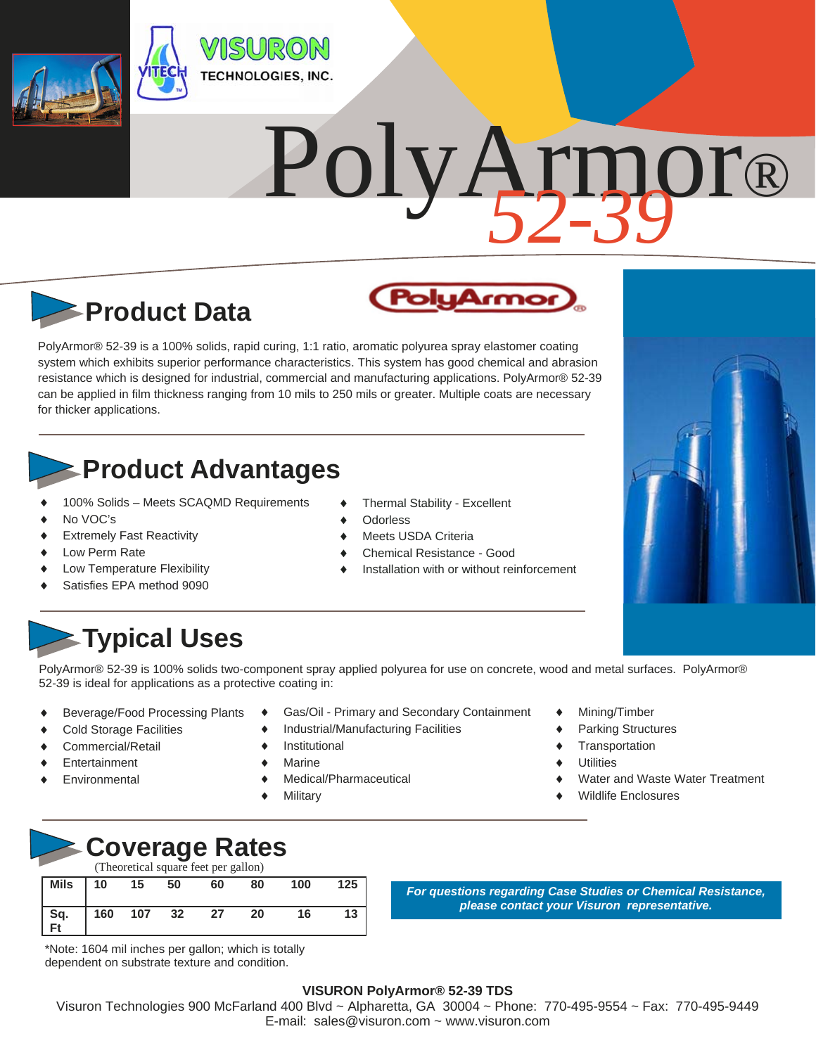

# PolyArmor® *52-39*

rmor

# **Product Data**

PolyArmor® 52-39 is a 100% solids, rapid curing, 1:1 ratio, aromatic polyurea spray elastomer coating system which exhibits superior performance characteristics. This system has good chemical and abrasion resistance which is designed for industrial, commercial and manufacturing applications. PolyArmor® 52-39 can be applied in film thickness ranging from 10 mils to 250 mils or greater. Multiple coats are necessary for thicker applications.

### **Product Advantages**

- 100% Solids Meets SCAQMD Requirements
- No VOC's
- Extremely Fast Reactivity
- Low Perm Rate
- Low Temperature Flexibility
- Satisfies EPA method 9090
- Thermal Stability Excellent
- **Odorless**
- Meets USDA Criteria
- Chemical Resistance Good
- Installation with or without reinforcement

## **Typical Uses**

PolyArmor® 52-39 is 100% solids two-component spray applied polyurea for use on concrete, wood and metal surfaces. PolyArmor® 52-39 is ideal for applications as a protective coating in:

- Beverage/Food Processing Plants
- Cold Storage Facilities
- Commercial/Retail
- **Entertainment**
- Environmental
- Gas/Oil Primary and Secondary Containment
- Industrial/Manufacturing Facilities
- Institutional
- Marine
- Medical/Pharmaceutical
- **Military**
- Mining/Timber
- Parking Structures
- **Transportation**
- **Utilities**
- Water and Waste Water Treatment
- Wildlife Enclosures



| (Theoretical square feet per gallon) |     |     |      |    |    |     |     |  |
|--------------------------------------|-----|-----|------|----|----|-----|-----|--|
| Mils                                 | 10  | 15  | 50   | 60 | 80 | 100 | 125 |  |
| $Sq.$<br>Ft                          | 160 | 107 | - 32 | 27 | 20 | 16  | 13  |  |

\*Note: 1604 mil inches per gallon; which is totally dependent on substrate texture and condition.

*For questions regarding Case Studies or Chemical Resistance, please contact your Visuron representative.* 



#### **VISURON PolyArmor® 52-39 TDS**

Visuron Technologies 900 McFarland 400 Blvd ~ Alpharetta, GA 30004 ~ Phone: 770-495-9554 ~ Fax: 770-495-9449 E-mail: sales@visuron.com ~ www.visuron.com